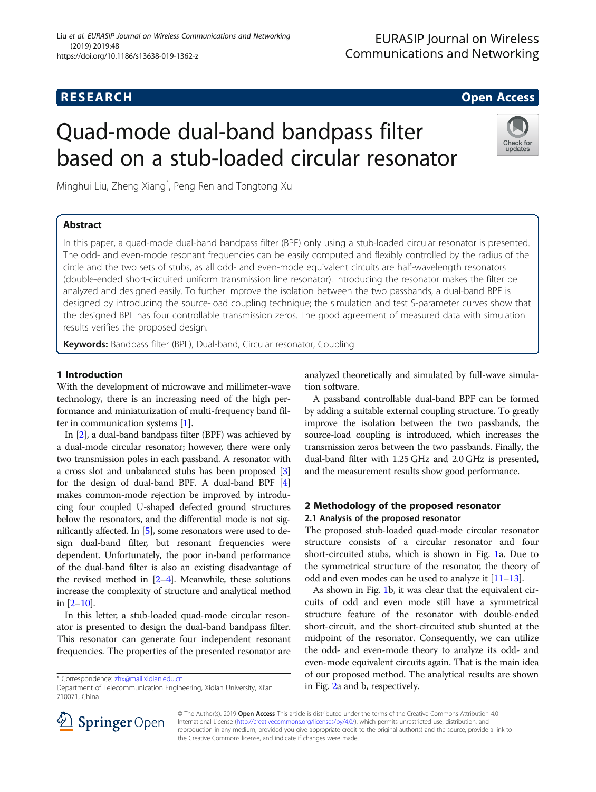## **RESEARCH CHILD CONTROL** CONTROL CONTROL CONTROL CONTROL CONTROL CONTROL CONTROL CONTROL CONTROL CONTROL CONTROL

# Quad-mode dual-band bandpass filter based on a stub-loaded circular resonator

Minghui Liu, Zheng Xiang\* , Peng Ren and Tongtong Xu

## Abstract

Check for undates

In this paper, a quad-mode dual-band bandpass filter (BPF) only using a stub-loaded circular resonator is presented. The odd- and even-mode resonant frequencies can be easily computed and flexibly controlled by the radius of the circle and the two sets of stubs, as all odd- and even-mode equivalent circuits are half-wavelength resonators (double-ended short-circuited uniform transmission line resonator). Introducing the resonator makes the filter be analyzed and designed easily. To further improve the isolation between the two passbands, a dual-band BPF is designed by introducing the source-load coupling technique; the simulation and test S-parameter curves show that the designed BPF has four controllable transmission zeros. The good agreement of measured data with simulation results verifies the proposed design.

Keywords: Bandpass filter (BPF), Dual-band, Circular resonator, Coupling

## 1 Introduction

With the development of microwave and millimeter-wave technology, there is an increasing need of the high performance and miniaturization of multi-frequency band filter in communication systems [\[1\]](#page-4-0).

In [\[2\]](#page-4-0), a dual-band bandpass filter (BPF) was achieved by a dual-mode circular resonator; however, there were only two transmission poles in each passband. A resonator with a cross slot and unbalanced stubs has been proposed [[3](#page-4-0)] for the design of dual-band BPF. A dual-band BPF [[4](#page-4-0)] makes common-mode rejection be improved by introducing four coupled U-shaped defected ground structures below the resonators, and the differential mode is not significantly affected. In [\[5\]](#page-4-0), some resonators were used to design dual-band filter, but resonant frequencies were dependent. Unfortunately, the poor in-band performance of the dual-band filter is also an existing disadvantage of the revised method in [\[2](#page-4-0)–[4\]](#page-4-0). Meanwhile, these solutions increase the complexity of structure and analytical method in  $[2-10]$  $[2-10]$  $[2-10]$  $[2-10]$ .

In this letter, a stub-loaded quad-mode circular resonator is presented to design the dual-band bandpass filter. This resonator can generate four independent resonant frequencies. The properties of the presented resonator are analyzed theoretically and simulated by full-wave simulation software.

A passband controllable dual-band BPF can be formed by adding a suitable external coupling structure. To greatly improve the isolation between the two passbands, the source-load coupling is introduced, which increases the transmission zeros between the two passbands. Finally, the dual-band filter with 1.25 GHz and 2.0 GHz is presented, and the measurement results show good performance.

## 2 Methodology of the proposed resonator 2.1 Analysis of the proposed resonator

The proposed stub-loaded quad-mode circular resonator structure consists of a circular resonator and four short-circuited stubs, which is shown in Fig. [1a](#page-1-0). Due to the symmetrical structure of the resonator, the theory of odd and even modes can be used to analyze it [[11](#page-5-0)–[13\]](#page-5-0).

As shown in Fig. [1](#page-1-0)b, it was clear that the equivalent circuits of odd and even mode still have a symmetrical structure feature of the resonator with double-ended short-circuit, and the short-circuited stub shunted at the midpoint of the resonator. Consequently, we can utilize the odd- and even-mode theory to analyze its odd- and even-mode equivalent circuits again. That is the main idea of our proposed method. The analytical results are shown \* Correspondence: [zhx@mail.xidian.edu.cn](mailto:zhx@mail.xidian.edu.cn)<br>Department of Telecommunication Engineering, Xidian University, Xi'an **hearth by an Eig. [2a](#page-1-0) and b, respectively.** 



© The Author(s). 2019 Open Access This article is distributed under the terms of the Creative Commons Attribution 4.0 International License ([http://creativecommons.org/licenses/by/4.0/\)](http://creativecommons.org/licenses/by/4.0/), which permits unrestricted use, distribution, and reproduction in any medium, provided you give appropriate credit to the original author(s) and the source, provide a link to the Creative Commons license, and indicate if changes were made.

<sup>710071,</sup> China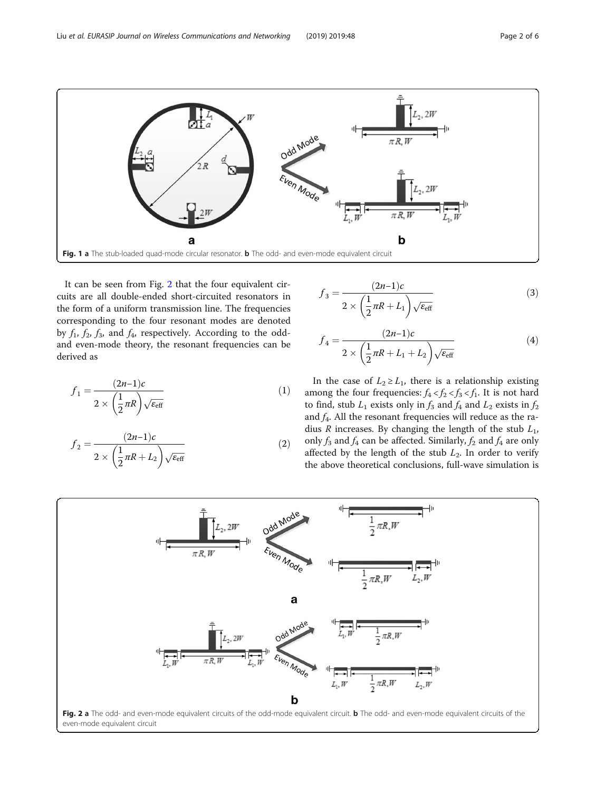<span id="page-1-0"></span>

It can be seen from Fig. 2 that the four equivalent circuits are all double-ended short-circuited resonators in the form of a uniform transmission line. The frequencies corresponding to the four resonant modes are denoted by  $f_1$ ,  $f_2$ ,  $f_3$ , and  $f_4$ , respectively. According to the oddand even-mode theory, the resonant frequencies can be derived as

$$
f_1 = \frac{(2n-1)c}{2 \times \left(\frac{1}{2}\pi R\right)\sqrt{\varepsilon_{\text{eff}}}}
$$
(1)

$$
f_2 = \frac{(2n-1)c}{2 \times \left(\frac{1}{2}\pi R + L_2\right)\sqrt{\varepsilon_{\text{eff}}}}\tag{2}
$$

$$
f_3 = \frac{(2n-1)c}{2 \times \left(\frac{1}{2}\pi R + L_1\right)\sqrt{\varepsilon_{\text{eff}}}}
$$
(3)

$$
f_4 = \frac{(2n-1)c}{2 \times \left(\frac{1}{2}\pi R + L_1 + L_2\right)\sqrt{\varepsilon_{\text{eff}}}}\tag{4}
$$

In the case of  $L_2 \ge L_1$ , there is a relationship existing among the four frequencies:  $f_4 < f_2 < f_3 < f_1$ . It is not hard to find, stub  $L_1$  exists only in  $f_3$  and  $f_4$  and  $L_2$  exists in  $f_2$ and  $f_4$ . All the resonant frequencies will reduce as the radius  $R$  increases. By changing the length of the stub  $L_1$ , only  $f_3$  and  $f_4$  can be affected. Similarly,  $f_2$  and  $f_4$  are only affected by the length of the stub  $L_2$ . In order to verify the above theoretical conclusions, full-wave simulation is

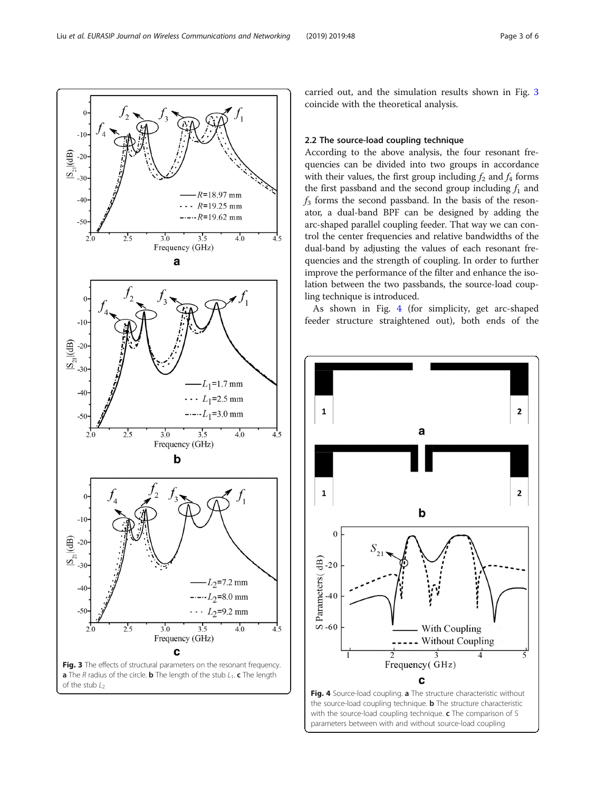carried out, and the simulation results shown in Fig. 3 coincide with the theoretical analysis.

## 2.2 The source-load coupling technique

According to the above analysis, the four resonant frequencies can be divided into two groups in accordance with their values, the first group including  $f_2$  and  $f_4$  forms the first passband and the second group including  $f_1$  and  $f_3$  forms the second passband. In the basis of the resonator, a dual-band BPF can be designed by adding the arc-shaped parallel coupling feeder. That way we can control the center frequencies and relative bandwidths of the dual-band by adjusting the values of each resonant frequencies and the strength of coupling. In order to further improve the performance of the filter and enhance the isolation between the two passbands, the source-load coupling technique is introduced.

As shown in Fig. 4 (for simplicity, get arc-shaped feeder structure straightened out), both ends of the





 $-10$  $(dB)$  $-20$  $S_{\bar{c}}$  $-30$  $R = 18.97$  mm  $-4($  $\ddot{\phantom{a}}$  $R = 19.25$  mm  $---R=19.62$  mm  $\overline{3.5}$  $2.5$  $3.0^{\circ}$  $4.0$  $4'5$ Frequency (GHz) a  $-10$  $\underline{S}$  -20<br> $\underline{S}$  -30  $L_1$ =1.7 mm  $-40$  $L_1$ =2.5 mm  $---L_1=3.0$  mm  $-5($  $3.0$  $2.5$  $3.5$  $4.0$  $4.5$ Frequency (GHz)  $\mathbf b$  $-10$  $S_{-30}$  -20<br>-30  $-30$  $2^{-7.2}$  mm  $-40$  $---L_2=8.0$  mm  $-5($  $L_2$ =9.2 mm  $2.5$  $4.0$  $3.0$  $3.5$  $4.5$  $2.0$ Frequency (GHz) C Fig. 3 The effects of structural parameters on the resonant frequency. **a** The R radius of the circle. **b** The length of the stub  $L_1$ . **c** The length

of the stub  $L<sub>2</sub>$ 

<span id="page-2-0"></span>Liu et al. EURASIP Journal on Wireless Communications and Networking (2019) 2019:48 Page 3 of 6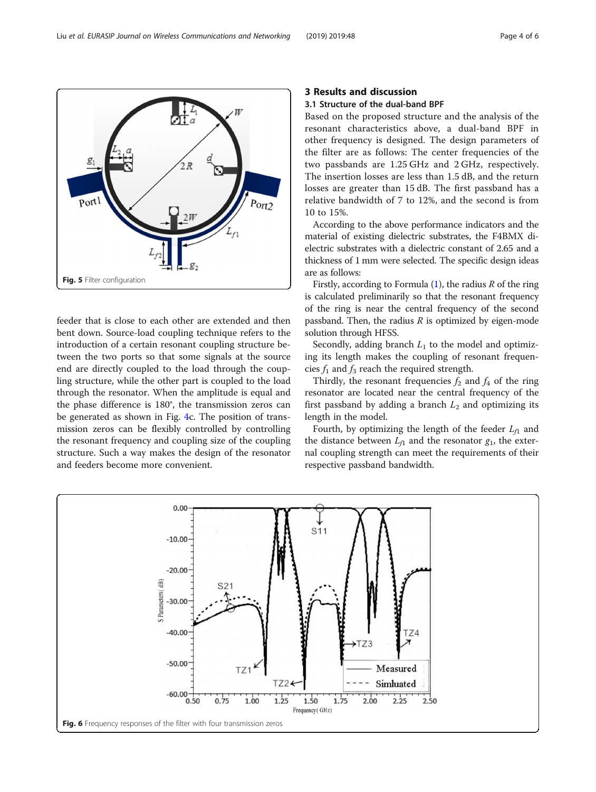feeder that is close to each other are extended and then bent down. Source-load coupling technique refers to the introduction of a certain resonant coupling structure between the two ports so that some signals at the source end are directly coupled to the load through the coupling structure, while the other part is coupled to the load through the resonator. When the amplitude is equal and the phase difference is 180°, the transmission zeros can be generated as shown in Fig. [4c](#page-2-0). The position of transmission zeros can be flexibly controlled by controlling the resonant frequency and coupling size of the coupling structure. Such a way makes the design of the resonator and feeders become more convenient.

## 3 Results and discussion

## 3.1 Structure of the dual-band BPF

Based on the proposed structure and the analysis of the resonant characteristics above, a dual-band BPF in other frequency is designed. The design parameters of the filter are as follows: The center frequencies of the two passbands are 1.25 GHz and 2 GHz, respectively. The insertion losses are less than 1.5 dB, and the return losses are greater than 15 dB. The first passband has a relative bandwidth of 7 to 12%, and the second is from 10 to 15%.

According to the above performance indicators and the material of existing dielectric substrates, the F4BMX dielectric substrates with a dielectric constant of 2.65 and a thickness of 1 mm were selected. The specific design ideas are as follows:

Firstly, according to Formula  $(1)$  $(1)$ , the radius R of the ring is calculated preliminarily so that the resonant frequency of the ring is near the central frequency of the second passband. Then, the radius  $R$  is optimized by eigen-mode solution through HFSS.

Secondly, adding branch  $L_1$  to the model and optimizing its length makes the coupling of resonant frequencies  $f_1$  and  $f_3$  reach the required strength.

Thirdly, the resonant frequencies  $f_2$  and  $f_4$  of the ring resonator are located near the central frequency of the first passband by adding a branch  $L_2$  and optimizing its length in the model.

Fourth, by optimizing the length of the feeder  $L_f$  and the distance between  $L_{f1}$  and the resonator  $g_1$ , the external coupling strength can meet the requirements of their respective passband bandwidth.



<span id="page-3-0"></span>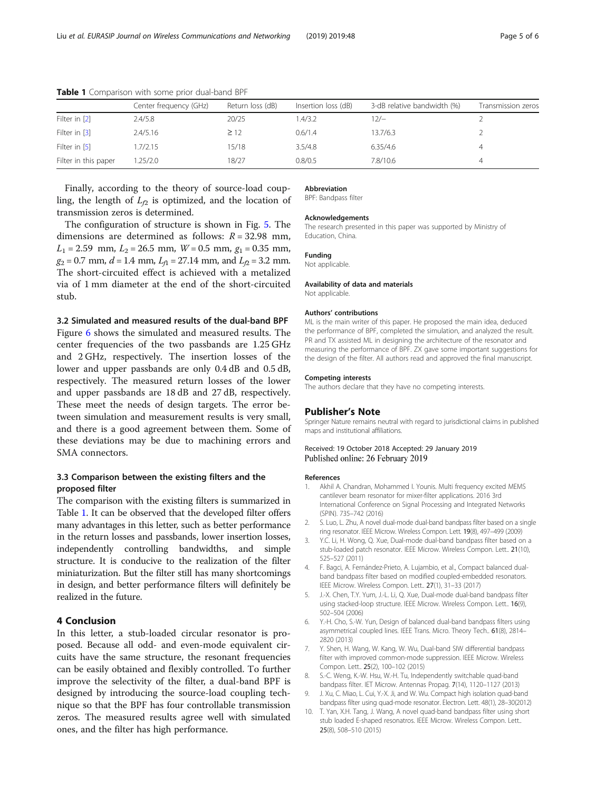|                      | Center frequency (GHz) | Return loss (dB) | Insertion loss (dB) | 3-dB relative bandwidth (%) | Transmission zeros |
|----------------------|------------------------|------------------|---------------------|-----------------------------|--------------------|
| Filter in [2]        | 2.4/5.8                | 20/25            | 1.4/3.2             | 12/—                        |                    |
| Filter in [3]        | 2.4/5.16               | $\geq$ 12        | 0.6/1.4             | 13.7/6.3                    |                    |
| Filter in [5]        | .7/2.15                | 15/18            | 3.5/4.8             | 6.35/4.6                    | 4                  |
| Filter in this paper | .25/2.0                | 18/27            | 0.8/0.5             | 7.8/10.6                    | 4                  |

<span id="page-4-0"></span>Table 1 Comparison with some prior dual-band BPF

Finally, according to the theory of source-load coupling, the length of  $L_p$  is optimized, and the location of transmission zeros is determined.

The configuration of structure is shown in Fig. [5.](#page-3-0) The dimensions are determined as follows:  $R = 32.98$  mm,  $L_1 = 2.59$  mm,  $L_2 = 26.5$  mm,  $W = 0.5$  mm,  $g_1 = 0.35$  mm,  $g_2 = 0.7$  mm,  $d = 1.4$  mm,  $L_A = 27.14$  mm, and  $L_A = 3.2$  mm. The short-circuited effect is achieved with a metalized via of 1 mm diameter at the end of the short-circuited stub.

### 3.2 Simulated and measured results of the dual-band BPF

Figure [6](#page-3-0) shows the simulated and measured results. The center frequencies of the two passbands are 1.25 GHz and 2 GHz, respectively. The insertion losses of the lower and upper passbands are only 0.4 dB and 0.5 dB, respectively. The measured return losses of the lower and upper passbands are 18 dB and 27 dB, respectively. These meet the needs of design targets. The error between simulation and measurement results is very small, and there is a good agreement between them. Some of these deviations may be due to machining errors and SMA connectors.

## 3.3 Comparison between the existing filters and the proposed filter

The comparison with the existing filters is summarized in Table 1. It can be observed that the developed filter offers many advantages in this letter, such as better performance in the return losses and passbands, lower insertion losses, independently controlling bandwidths, and simple structure. It is conducive to the realization of the filter miniaturization. But the filter still has many shortcomings in design, and better performance filters will definitely be realized in the future.

## 4 Conclusion

In this letter, a stub-loaded circular resonator is proposed. Because all odd- and even-mode equivalent circuits have the same structure, the resonant frequencies can be easily obtained and flexibly controlled. To further improve the selectivity of the filter, a dual-band BPF is designed by introducing the source-load coupling technique so that the BPF has four controllable transmission zeros. The measured results agree well with simulated ones, and the filter has high performance.

#### Abbreviation

BPF: Bandpass filter

#### Acknowledgements

The research presented in this paper was supported by Ministry of Education, China.

## Funding

Not applicable.

#### Availability of data and materials Not applicable.

#### Authors' contributions

ML is the main writer of this paper. He proposed the main idea, deduced the performance of BPF, completed the simulation, and analyzed the result. PR and TX assisted ML in designing the architecture of the resonator and measuring the performance of BPF. ZX gave some important suggestions for the design of the filter. All authors read and approved the final manuscript.

#### Competing interests

The authors declare that they have no competing interests.

#### Publisher's Note

Springer Nature remains neutral with regard to jurisdictional claims in published maps and institutional affiliations.

#### Received: 19 October 2018 Accepted: 29 January 2019 Published online: 26 February 2019

#### References

- 1. Akhil A. Chandran, Mohammed I. Younis. Multi frequency excited MEMS cantilever beam resonator for mixer-filter applications. 2016 3rd International Conference on Signal Processing and Integrated Networks (SPIN). 735–742 (2016)
- 2. S. Luo, L. Zhu, A novel dual-mode dual-band bandpass filter based on a single ring resonator. IEEE Microw. Wireless Compon. Lett. 19(8), 497–499 (2009)
- 3. Y.C. Li, H. Wong, Q. Xue, Dual-mode dual-band bandpass filter based on a stub-loaded patch resonator. IEEE Microw. Wireless Compon. Lett.. 21(10), 525–527 (2011)
- 4. F. Bagci, A. Fernández-Prieto, A. Lujambio, et al., Compact balanced dualband bandpass filter based on modified coupled-embedded resonators. IEEE Microw. Wireless Compon. Lett.. 27(1), 31–33 (2017)
- 5. J.-X. Chen, T.Y. Yum, J.-L. Li, Q. Xue, Dual-mode dual-band bandpass filter using stacked-loop structure. IEEE Microw. Wireless Compon. Lett.. 16(9), 502–504 (2006)
- 6. Y.-H. Cho, S.-W. Yun, Design of balanced dual-band bandpass filters using asymmetrical coupled lines. IEEE Trans. Micro. Theory Tech.. 61(8), 2814– 2820 (2013)
- 7. Y. Shen, H. Wang, W. Kang, W. Wu, Dual-band SIW differential bandpass filter with improved common-mode suppression. IEEE Microw. Wireless Compon. Lett.. 25(2), 100–102 (2015)
- 8. S.-C. Weng, K.-W. Hsu, W.-H. Tu, Independently switchable quad-band bandpass filter. IET Microw. Antennas Propag. 7(14), 1120–1127 (2013)
- 9. J. Xu, C. Miao, L. Cui, Y.-X. Ji, and W. Wu. Compact high isolation quad-band bandpass filter using quad-mode resonator. Electron. Lett. 48(1), 28–30(2012)
- 10. T. Yan, X.H. Tang, J. Wang, A novel quad-band bandpass filter using short stub loaded E-shaped resonatros. IEEE Microw. Wireless Compon. Lett.. 25(8), 508–510 (2015)